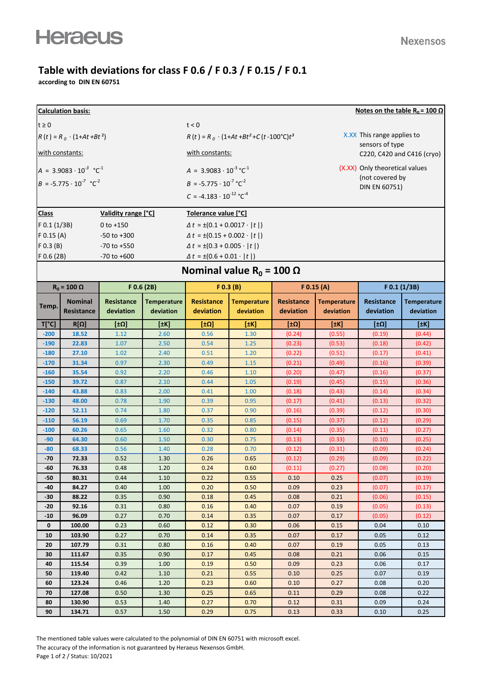## **Table with deviations for class F 0.6 / F 0.3 / F 0.15 / F 0.1**

**according to DIN EN 60751**

| Notes on the table R <sub>0</sub> = 100 $\Omega$<br><b>Calculation basis:</b> |                                             |                   |                                           |                                              |                                                     |                   |                                |                   |                    |  |  |  |
|-------------------------------------------------------------------------------|---------------------------------------------|-------------------|-------------------------------------------|----------------------------------------------|-----------------------------------------------------|-------------------|--------------------------------|-------------------|--------------------|--|--|--|
| $t \geq 0$<br>t < 0                                                           |                                             |                   |                                           |                                              |                                                     |                   |                                |                   |                    |  |  |  |
| $R(t) = R_0 \cdot (1 + At + Bt^2)$                                            |                                             |                   |                                           |                                              | $R(t) = R_0 \cdot (1+At+Bt^2+C(t-100^{\circ}C)t^3)$ |                   | X.XX This range applies to     |                   |                    |  |  |  |
|                                                                               |                                             |                   |                                           |                                              |                                                     |                   | sensors of type                |                   |                    |  |  |  |
| with constants:                                                               |                                             |                   |                                           | with constants:                              |                                                     |                   | C220, C420 and C416 (cryo)     |                   |                    |  |  |  |
| $A = 3.9083 \cdot 10^{-3} \text{ °C}^{-1}$                                    |                                             |                   |                                           | $A = 3.9083 \cdot 10^{-3} \,^{\circ}C^{-1}$  |                                                     |                   | (X.XX) Only theoretical values |                   |                    |  |  |  |
|                                                                               | $B = -5.775 \cdot 10^{-7} \text{ °C}^2$     |                   |                                           | $B = -5.775 \cdot 10^{-7} \text{°C}^{-2}$    |                                                     |                   | (not covered by                |                   |                    |  |  |  |
|                                                                               |                                             |                   |                                           | $C = -4.183 \cdot 10^{-12}$ °C <sup>-4</sup> |                                                     |                   | DIN EN 60751)                  |                   |                    |  |  |  |
|                                                                               |                                             |                   |                                           |                                              |                                                     |                   |                                |                   |                    |  |  |  |
| Validity range [°C]<br><b>Class</b>                                           |                                             |                   |                                           | Tolerance value [°C]                         |                                                     |                   |                                |                   |                    |  |  |  |
| $F$ 0.1 (1/3B)                                                                |                                             | $0$ to $+150$     |                                           | $\Delta t = \pm (0.1 + 0.0017 \cdot  t )$    |                                                     |                   |                                |                   |                    |  |  |  |
| $F$ 0.15 (A)<br>$-50$ to $+300$                                               |                                             |                   | $\Delta t = \pm (0.15 + 0.002 \cdot  t )$ |                                              |                                                     |                   |                                |                   |                    |  |  |  |
|                                                                               | $F$ 0.3 (B)<br>$-70$ to $+550$              |                   |                                           | $\Delta t = \pm (0.3 + 0.005 \cdot  t )$     |                                                     |                   |                                |                   |                    |  |  |  |
| $F$ 0.6 (2B)                                                                  |                                             | $-70$ to $+600$   |                                           | $\Delta t = \pm (0.6 + 0.01 \cdot  t )$      |                                                     |                   |                                |                   |                    |  |  |  |
|                                                                               | Nominal value R <sub>0</sub> = 100 $\Omega$ |                   |                                           |                                              |                                                     |                   |                                |                   |                    |  |  |  |
| $R_0 = 100 \Omega$                                                            |                                             | $F$ 0.6 (2B)      |                                           | F(0.3 (B))                                   |                                                     | $F$ 0.15 (A)      |                                | F 0.1 (1/3B)      |                    |  |  |  |
|                                                                               | <b>Nominal</b>                              | <b>Resistance</b> | <b>Temperature</b>                        | <b>Resistance</b>                            | <b>Temperature</b>                                  | <b>Resistance</b> | <b>Temperature</b>             | <b>Resistance</b> | <b>Temperature</b> |  |  |  |
| Temp.                                                                         | Resistance                                  | deviation         | deviation                                 | deviation                                    | deviation                                           | deviation         | deviation                      | deviation         | deviation          |  |  |  |
| $T[^{\circ}C]$                                                                | $R[\Omega]$                                 | [10]              | [#K]                                      | [±Ω]                                         | $[$ $+$ K]                                          | <u>[tΩ]</u>       | [±K]                           | [±Ω]              | [#K]               |  |  |  |
| $-200$                                                                        | 18.52                                       | 1.12              | 2.60                                      | 0.56                                         | 1.30                                                | (0.24)            | (0.55)                         | (0.19)            | (0.44)             |  |  |  |
| $-190$                                                                        | 22.83                                       | 1.07              | 2.50                                      | 0.54                                         | 1.25                                                | (0.23)            | (0.53)                         | (0.18)            | (0.42)             |  |  |  |
| $-180$                                                                        | 27.10                                       | 1.02              | 2.40                                      | 0.51                                         | 1.20                                                | (0.22)            | (0.51)                         | (0.17)            | (0.41)             |  |  |  |
| $-170$                                                                        | 31.34                                       | 0.97              | 2.30                                      | 0.49                                         | 1.15                                                | (0.21)            | (0.49)                         | (0.16)            | (0.39)             |  |  |  |
| $-160$                                                                        | 35.54                                       | 0.92              | 2.20                                      | 0.46                                         | 1.10                                                | (0.20)            | (0.47)                         | (0.16)            | (0.37)             |  |  |  |
| $-150$                                                                        | 39.72                                       | 0.87              | 2.10                                      | 0.44                                         | 1.05                                                | (0.19)            | (0.45)                         | (0.15)            | (0.36)             |  |  |  |
| $-140$                                                                        | 43.88                                       | 0.83              | 2.00                                      | 0.41                                         | 1.00                                                | (0.18)            | (0.43)                         | (0.14)            | (0.34)             |  |  |  |
| $-130$                                                                        | 48.00                                       | 0.78              | 1.90                                      | 0.39                                         | 0.95                                                | (0.17)            | (0.41)                         | (0.13)            | (0.32)             |  |  |  |
| $-120$                                                                        | 52.11                                       | 0.74              | 1.80                                      | 0.37                                         | 0.90                                                | (0.16)            | (0.39)                         | (0.12)            | (0.30)             |  |  |  |
| $-110$<br>$-100$                                                              | 56.19<br>60.26                              | 0.69<br>0.65      | 1.70<br>1.60                              | 0.35<br>0.32                                 | 0.85<br>0.80                                        | (0.15)            | (0.37)                         | (0.12)            | (0.29)<br>(0.27)   |  |  |  |
| $-90$                                                                         | 64.30                                       | 0.60              | 1.50                                      | 0.30                                         | 0.75                                                | (0.14)<br>(0.13)  | (0.35)<br>(0.33)               | (0.11)<br>(0.10)  | (0.25)             |  |  |  |
| $-80$                                                                         | 68.33                                       | 0.56              | 1.40                                      | 0.28                                         | 0.70                                                | (0.12)            | (0.31)                         | (0.09)            | (0.24)             |  |  |  |
| $-70$                                                                         | 72.33                                       | 0.52              | 1.30                                      | 0.26                                         | 0.65                                                | (0.12)            | (0.29)                         | (0.09)            | (0.22)             |  |  |  |
| -60                                                                           | 76.33                                       | 0.48              | 1.20                                      | 0.24                                         | 0.60                                                | (0.11)            | (0.27)                         | (0.08)            | (0.20)             |  |  |  |
| -50                                                                           | 80.31                                       | 0.44              | 1.10                                      | 0.22                                         | 0.55                                                | 0.10              | 0.25                           | (0.07)            | (0.19)             |  |  |  |
| -40                                                                           | 84.27                                       | 0.40              | 1.00                                      | 0.20                                         | 0.50                                                | 0.09              | 0.23                           | (0.07)            | (0.17)             |  |  |  |
| $-30$                                                                         | 88.22                                       | 0.35              | 0.90                                      | 0.18                                         | 0.45                                                | 0.08              | 0.21                           | (0.06)            | (0.15)             |  |  |  |
| -20                                                                           | 92.16                                       | 0.31              | 0.80                                      | 0.16                                         | 0.40                                                | 0.07              | 0.19                           | (0.05)            | (0.13)             |  |  |  |
| $-10$                                                                         | 96.09                                       | 0.27              | 0.70                                      | 0.14                                         | 0.35                                                | 0.07              | 0.17                           | (0.05)            | (0.12)             |  |  |  |
| $\mathbf 0$                                                                   | 100.00                                      | 0.23              | 0.60                                      | 0.12                                         | 0.30                                                | 0.06              | 0.15                           | 0.04              | 0.10               |  |  |  |
| 10                                                                            | 103.90                                      | 0.27              | 0.70                                      | 0.14                                         | 0.35                                                | 0.07              | 0.17                           | 0.05              | 0.12               |  |  |  |
| 20                                                                            | 107.79                                      | 0.31              | 0.80                                      | 0.16                                         | 0.40                                                | 0.07              | 0.19                           | 0.05              | 0.13               |  |  |  |
| 30                                                                            | 111.67                                      | 0.35              | 0.90                                      | 0.17                                         | 0.45                                                | 0.08              | 0.21                           | 0.06              | 0.15               |  |  |  |
| 40                                                                            | 115.54                                      | 0.39              | 1.00                                      | 0.19                                         | 0.50                                                | 0.09              | 0.23                           | 0.06              | 0.17               |  |  |  |
| 50                                                                            | 119.40                                      | 0.42              | $1.10\,$                                  | 0.21                                         | 0.55                                                | 0.10              | 0.25                           | 0.07              | 0.19               |  |  |  |
| 60                                                                            | 123.24                                      | 0.46              | 1.20                                      | 0.23                                         | 0.60                                                | 0.10              | 0.27                           | 0.08              | 0.20               |  |  |  |
| 70                                                                            | 127.08                                      | 0.50              | 1.30                                      | 0.25                                         | 0.65                                                | 0.11              | 0.29                           | 0.08              | 0.22               |  |  |  |
| 80<br>90                                                                      | 130.90<br>134.71                            | 0.53<br>0.57      | 1.40<br>1.50                              | 0.27<br>0.29                                 | 0.70<br>0.75                                        | 0.12<br>0.13      | 0.31<br>0.33                   | 0.09              | 0.24<br>0.25       |  |  |  |
|                                                                               |                                             |                   |                                           |                                              |                                                     |                   |                                | 0.10              |                    |  |  |  |

The mentioned table values were calculated to the polynomial of DIN EN 60751 with microsoft excel. The accuracy of the information is not guaranteed by Heraeus Nexensos GmbH. Page 1 of 2 / Status: 10/2021